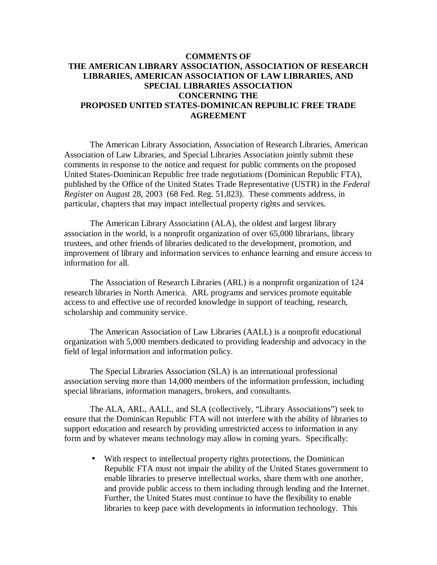### **COMMENTS OF THE AMERICAN LIBRARY ASSOCIATION, ASSOCIATION OF RESEARCH LIBRARIES, AMERICAN ASSOCIATION OF LAW LIBRARIES, AND SPECIAL LIBRARIES ASSOCIATION CONCERNING THE PROPOSED UNITED STATES-DOMINICAN REPUBLIC FREE TRADE AGREEMENT**

The American Library Association, Association of Research Libraries, American Association of Law Libraries, and Special Libraries Association jointly submit these comments in response to the notice and request for public comments on the proposed United States-Dominican Republic free trade negotiations (Dominican Republic FTA), published by the Office of the United States Trade Representative (USTR) in the *Federal Register* on August 28, 2003 (68 Fed. Reg. 51,823). These comments address, in particular, chapters that may impact intellectual property rights and services.

The American Library Association (ALA), the oldest and largest library association in the world, is a nonprofit organization of over 65,000 librarians, library trustees, and other friends of libraries dedicated to the development, promotion, and improvement of library and information services to enhance learning and ensure access to information for all.

The Association of Research Libraries (ARL) is a nonprofit organization of 124 research libraries in North America. ARL programs and services promote equitable access to and effective use of recorded knowledge in support of teaching, research, scholarship and community service.

The American Association of Law Libraries (AALL) is a nonprofit educational organization with 5,000 members dedicated to providing leadership and advocacy in the field of legal information and information policy.

The Special Libraries Association (SLA) is an international professional association serving more than 14,000 members of the information profession, including special librarians, information managers, brokers, and consultants.

The ALA, ARL, AALL, and SLA (collectively, "Library Associations") seek to ensure that the Dominican Republic FTA will not interfere with the ability of libraries to support education and research by providing unrestricted access to information in any form and by whatever means technology may allow in coming years. Specifically:

• With respect to intellectual property rights protections, the Dominican Republic FTA must not impair the ability of the United States government to enable libraries to preserve intellectual works, share them with one another, and provide public access to them including through lending and the Internet. Further, the United States must continue to have the flexibility to enable libraries to keep pace with developments in information technology. This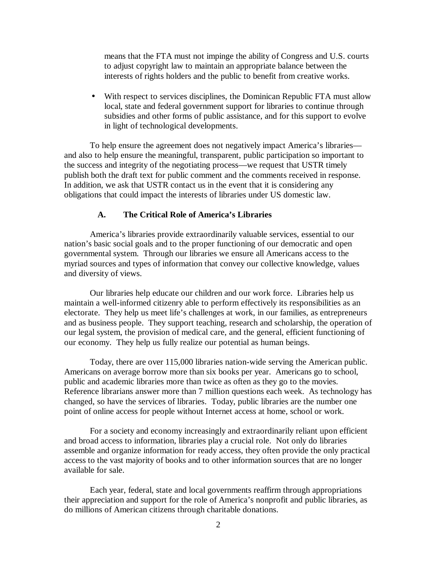means that the FTA must not impinge the ability of Congress and U.S. courts to adjust copyright law to maintain an appropriate balance between the interests of rights holders and the public to benefit from creative works.

• With respect to services disciplines, the Dominican Republic FTA must allow local, state and federal government support for libraries to continue through subsidies and other forms of public assistance, and for this support to evolve in light of technological developments.

To help ensure the agreement does not negatively impact America's libraries and also to help ensure the meaningful, transparent, public participation so important to the success and integrity of the negotiating process— we request that USTR timely publish both the draft text for public comment and the comments received in response. In addition, we ask that USTR contact us in the event that it is considering any obligations that could impact the interests of libraries under US domestic law.

#### **A. The Critical Role of America's Libraries**

America's libraries provide extraordinarily valuable services, essential to our nation's basic social goals and to the proper functioning of our democratic and open governmental system. Through our libraries we ensure all Americans access to the myriad sources and types of information that convey our collective knowledge, values and diversity of views.

Our libraries help educate our children and our work force. Libraries help us maintain a well-informed citizenry able to perform effectively its responsibilities as an electorate. They help us meet life's challenges at work, in our families, as entrepreneurs and as business people. They support teaching, research and scholarship, the operation of our legal system, the provision of medical care, and the general, efficient functioning of our economy. They help us fully realize our potential as human beings.

Today, there are over 115,000 libraries nation-wide serving the American public. Americans on average borrow more than six books per year. Americans go to school, public and academic libraries more than twice as often as they go to the movies. Reference librarians answer more than 7 million questions each week. As technology has changed, so have the services of libraries. Today, public libraries are the number one point of online access for people without Internet access at home, school or work.

For a society and economy increasingly and extraordinarily reliant upon efficient and broad access to information, libraries play a crucial role. Not only do libraries assemble and organize information for ready access, they often provide the only practical access to the vast majority of books and to other information sources that are no longer available for sale.

Each year, federal, state and local governments reaffirm through appropriations their appreciation and support for the role of America's nonprofit and public libraries, as do millions of American citizens through charitable donations.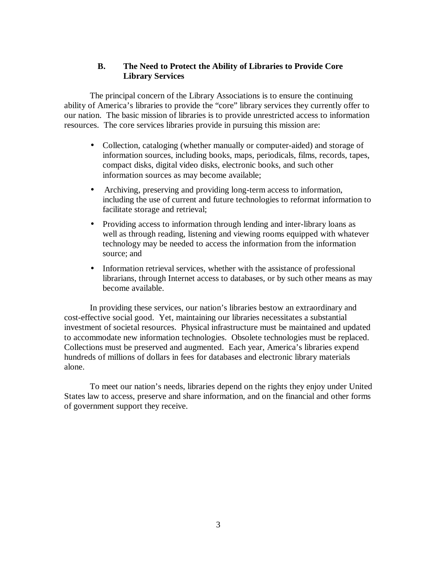# **B. The Need to Protect the Ability of Libraries to Provide Core Library Services**

The principal concern of the Library Associations is to ensure the continuing ability of America's libraries to provide the "core" library services they currently offer to our nation. The basic mission of libraries is to provide unrestricted access to information resources. The core services libraries provide in pursuing this mission are:

- Collection, cataloging (whether manually or computer-aided) and storage of information sources, including books, maps, periodicals, films, records, tapes, compact disks, digital video disks, electronic books, and such other information sources as may become available;
- Archiving, preserving and providing long-term access to information, including the use of current and future technologies to reformat information to facilitate storage and retrieval;
- Providing access to information through lending and inter-library loans as well as through reading, listening and viewing rooms equipped with whatever technology may be needed to access the information from the information source; and
- Information retrieval services, whether with the assistance of professional librarians, through Internet access to databases, or by such other means as may become available.

In providing these services, our nation's libraries bestow an extraordinary and cost-effective social good. Yet, maintaining our libraries necessitates a substantial investment of societal resources. Physical infrastructure must be maintained and updated to accommodate new information technologies. Obsolete technologies must be replaced. Collections must be preserved and augmented. Each year, America's libraries expend hundreds of millions of dollars in fees for databases and electronic library materials alone.

To meet our nation's needs, libraries depend on the rights they enjoy under United States law to access, preserve and share information, and on the financial and other forms of government support they receive.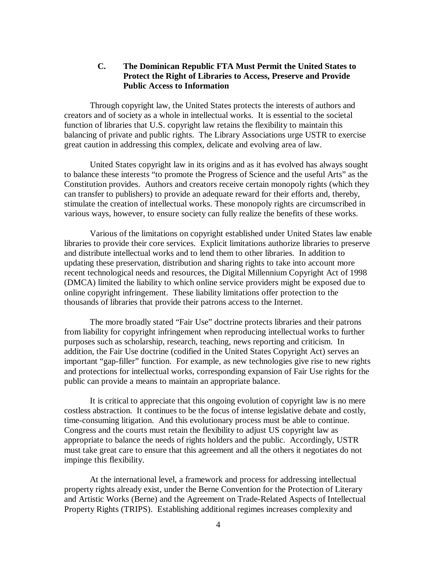### **C. The Dominican Republic FTA Must Permit the United States to Protect the Right of Libraries to Access, Preserve and Provide Public Access to Information**

Through copyright law, the United States protects the interests of authors and creators and of society as a whole in intellectual works. It is essential to the societal function of libraries that U.S. copyright law retains the flexibility to maintain this balancing of private and public rights. The Library Associations urge USTR to exercise great caution in addressing this complex, delicate and evolving area of law.

United States copyright law in its origins and as it has evolved has always sought to balance these interests "to promote the Progress of Science and the useful Arts" as the Constitution provides. Authors and creators receive certain monopoly rights (which they can transfer to publishers) to provide an adequate reward for their efforts and, thereby, stimulate the creation of intellectual works. These monopoly rights are circumscribed in various ways, however, to ensure society can fully realize the benefits of these works.

Various of the limitations on copyright established under United States law enable libraries to provide their core services. Explicit limitations authorize libraries to preserve and distribute intellectual works and to lend them to other libraries. In addition to updating these preservation, distribution and sharing rights to take into account more recent technological needs and resources, the Digital Millennium Copyright Act of 1998 (DMCA) limited the liability to which online service providers might be exposed due to online copyright infringement. These liability limitations offer protection to the thousands of libraries that provide their patrons access to the Internet.

The more broadly stated "Fair Use" doctrine protects libraries and their patrons from liability for copyright infringement when reproducing intellectual works to further purposes such as scholarship, research, teaching, news reporting and criticism. In addition, the Fair Use doctrine (codified in the United States Copyright Act) serves an important "gap-filler" function. For example, as new technologies give rise to new rights and protections for intellectual works, corresponding expansion of Fair Use rights for the public can provide a means to maintain an appropriate balance.

It is critical to appreciate that this ongoing evolution of copyright law is no mere costless abstraction. It continues to be the focus of intense legislative debate and costly, time-consuming litigation. And this evolutionary process must be able to continue. Congress and the courts must retain the flexibility to adjust US copyright law as appropriate to balance the needs of rights holders and the public. Accordingly, USTR must take great care to ensure that this agreement and all the others it negotiates do not impinge this flexibility.

At the international level, a framework and process for addressing intellectual property rights already exist, under the Berne Convention for the Protection of Literary and Artistic Works (Berne) and the Agreement on Trade-Related Aspects of Intellectual Property Rights (TRIPS). Establishing additional regimes increases complexity and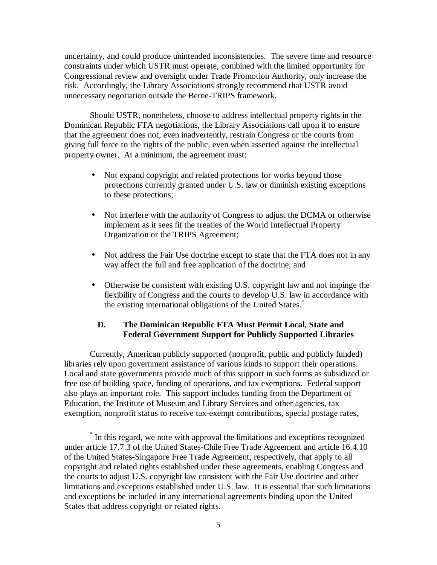uncertainty, and could produce unintended inconsistencies. The severe time and resource constraints under which USTR must operate, combined with the limited opportunity for Congressional review and oversight under Trade Promotion Authority, only increase the risk. Accordingly, the Library Associations strongly recommend that USTR avoid unnecessary negotiation outside the Berne-TRIPS framework.

Should USTR, nonetheless, choose to address intellectual property rights in the Dominican Republic FTA negotiations, the Library Associations call upon it to ensure that the agreement does not, even inadvertently, restrain Congress or the courts from giving full force to the rights of the public, even when asserted against the intellectual property owner. At a minimum, the agreement must:

- Not expand copyright and related protections for works beyond those protections currently granted under U.S. law or diminish existing exceptions to these protections;
- Not interfere with the authority of Congress to adjust the DCMA or otherwise implement as it sees fit the treaties of the World Intellectual Property Organization or the TRIPS Agreement;
- Not address the Fair Use doctrine except to state that the FTA does not in any way affect the full and free application of the doctrine; and
- Otherwise be consistent with existing U.S. copyright law and not impinge the flexibility of Congress and the courts to develop U.S. law in accordance with the existing international obligations of the United States.\*

### **D. The Dominican Republic FTA Must Permit Local, State and Federal Government Support for Publicly Supported Libraries**

Currently, American publicly supported (nonprofit, public and publicly funded) libraries rely upon government assistance of various kinds to support their operations. Local and state governments provide much of this support in such forms as subsidized or free use of building space, funding of operations, and tax exemptions. Federal support also plays an important role. This support includes funding from the Department of Education, the Institute of Museum and Library Services and other agencies, tax exemption, nonprofit status to receive tax-exempt contributions, special postage rates,

 $\overline{a}$ 

<sup>\*</sup> In this regard, we note with approval the limitations and exceptions recognized under article 17.7.3 of the United States-Chile Free Trade Agreement and article 16.4.10 of the United States-Singapore Free Trade Agreement, respectively, that apply to all copyright and related rights established under these agreements, enabling Congress and the courts to adjust U.S. copyright law consistent with the Fair Use doctrine and other limitations and exceptions established under U.S. law. It is essential that such limitations and exceptions be included in any international agreements binding upon the United States that address copyright or related rights.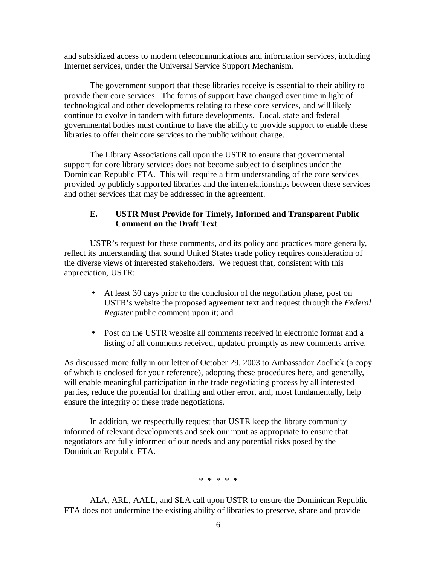and subsidized access to modern telecommunications and information services, including Internet services, under the Universal Service Support Mechanism.

The government support that these libraries receive is essential to their ability to provide their core services. The forms of support have changed over time in light of technological and other developments relating to these core services, and will likely continue to evolve in tandem with future developments. Local, state and federal governmental bodies must continue to have the ability to provide support to enable these libraries to offer their core services to the public without charge.

The Library Associations call upon the USTR to ensure that governmental support for core library services does not become subject to disciplines under the Dominican Republic FTA. This will require a firm understanding of the core services provided by publicly supported libraries and the interrelationships between these services and other services that may be addressed in the agreement.

# **E. USTR Must Provide for Timely, Informed and Transparent Public Comment on the Draft Text**

USTR's request for these comments, and its policy and practices more generally, reflect its understanding that sound United States trade policy requires consideration of the diverse views of interested stakeholders. We request that, consistent with this appreciation, USTR:

- At least 30 days prior to the conclusion of the negotiation phase, post on USTR's website the proposed agreement text and request through the *Federal Register* public comment upon it; and
- Post on the USTR website all comments received in electronic format and a listing of all comments received, updated promptly as new comments arrive.

As discussed more fully in our letter of October 29, 2003 to Ambassador Zoellick (a copy of which is enclosed for your reference), adopting these procedures here, and generally, will enable meaningful participation in the trade negotiating process by all interested parties, reduce the potential for drafting and other error, and, most fundamentally, help ensure the integrity of these trade negotiations.

In addition, we respectfully request that USTR keep the library community informed of relevant developments and seek our input as appropriate to ensure that negotiators are fully informed of our needs and any potential risks posed by the Dominican Republic FTA.

\* \* \* \* \*

ALA, ARL, AALL, and SLA call upon USTR to ensure the Dominican Republic FTA does not undermine the existing ability of libraries to preserve, share and provide